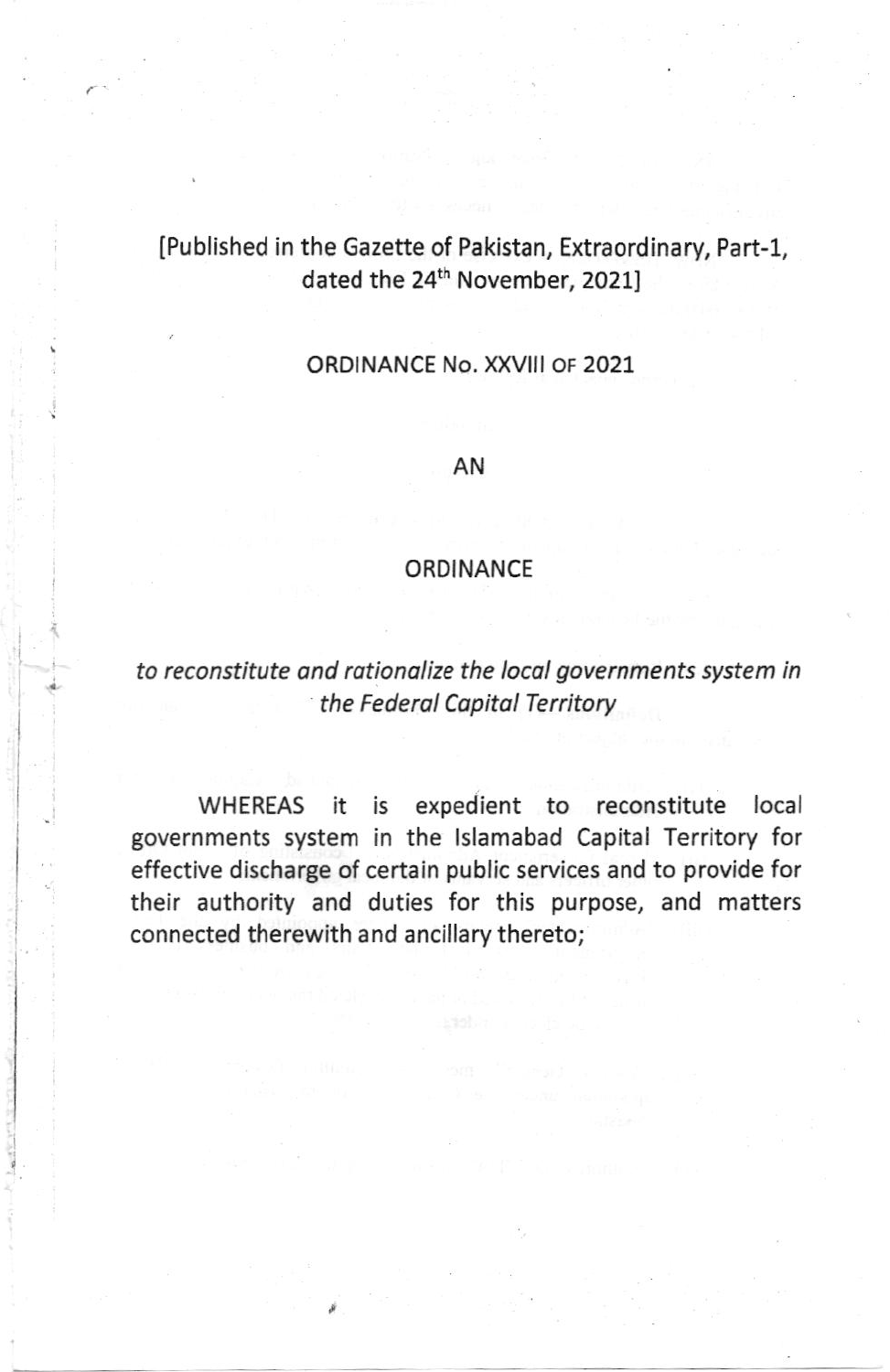# [Published in the Gazette of Pakistan, Extraordinary, Part-1, dated the 24<sup>th</sup> November, 2021]

## ORDINANCE No. XXVlll oF 2021

## AN

## **ORDINANCE**

# to reconstitute ond rotionolize the locol governments system in the Federal Capital Territory

WHEREAS it is expedient to reconstitute local governments system in the lslamabad Capital Territory for effective discharge of certain public services and to provide for their authority and duties for this purpose, and matters connected therewith and ancillary thereto;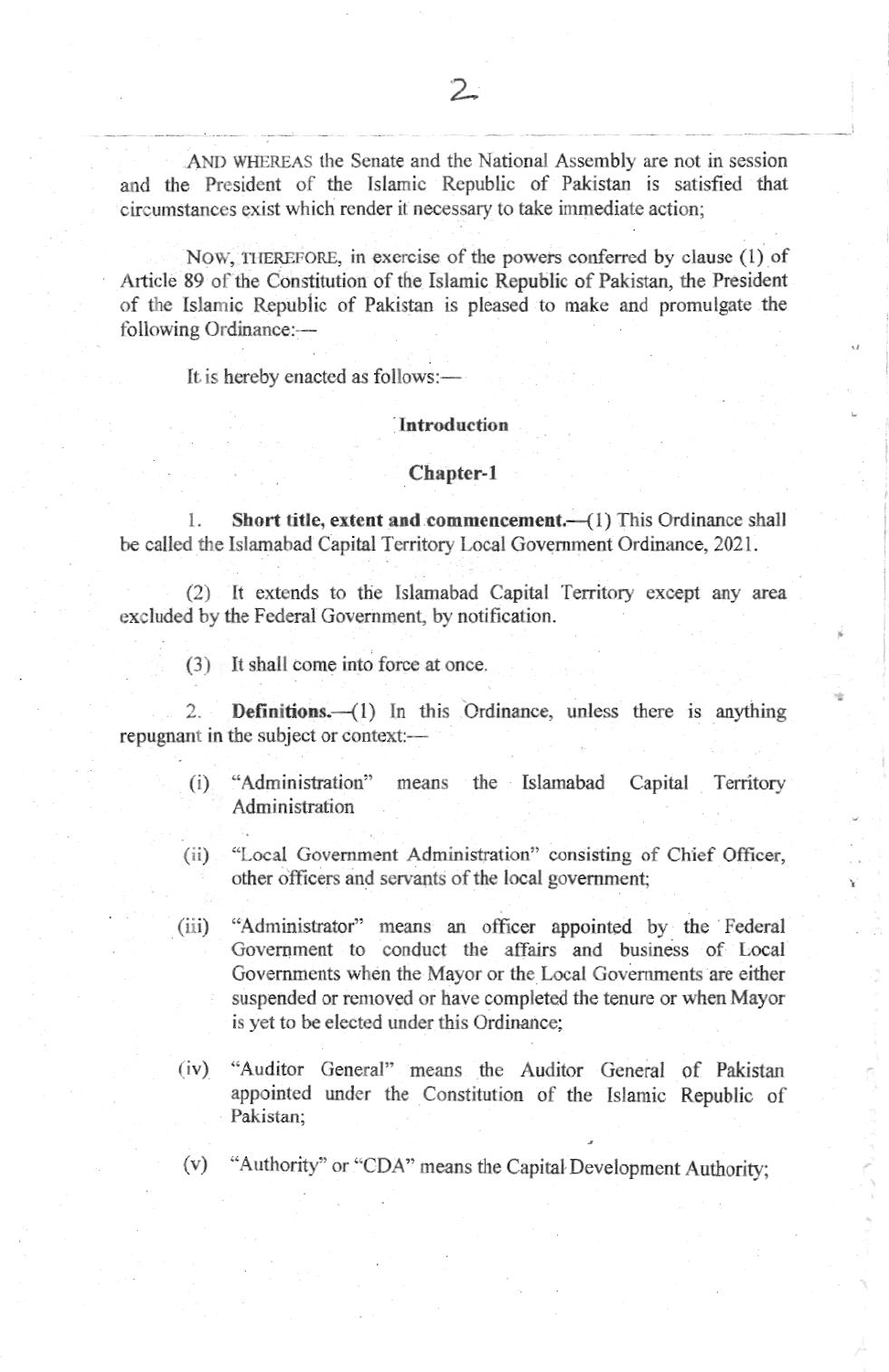AND WHEREAS the Senate and the National Assembly are not in session and the President of the Islamic Republic of Pakistan is satisfied that circumstances exist which render it necessary to take immediate action;

NOW, THEREFORE, in exercise of the powers conferred by clause (1) of Article 89 of the Constitution of the Islamic Republic of Pakistan, the President of the Islamic Republic of Pakistan is pleased to make and promulgate the following Ordinance:-

It is hereby enacted as follows:-

### Introduction

#### Chapter-1

Short title, extent and commencement.-(1) This Ordinance shall 1. be called the Islamabad Capital Territory Local Government Ordinance, 2021.

(2) It extends to the Islamabad Capital Territory except any area excluded by the Federal Government, by notification.

(3) It shall come into force at once.

Definitions.-(1) In this Ordinance, unless there is anything  $\overline{2}$ repugnant in the subject or context:--

- "Administration" means the Islamabad Capital  $(i)$ Territory Administration
- "Local Government Administration" consisting of Chief Officer,  $(ii)$ other officers and servants of the local government;
- "Administrator" means an officer appointed by the Federal  $(iii)$ Government to conduct the affairs and business of Local Governments when the Mayor or the Local Governments are either suspended or removed or have completed the tenure or when Mayor is yet to be elected under this Ordinance;
- "Auditor General" means the Auditor General of Pakistan  $(iv)$ appointed under the Constitution of the Islamic Republic of Pakistan:
- "Authority" or "CDA" means the Capital Development Authority;  $(v)$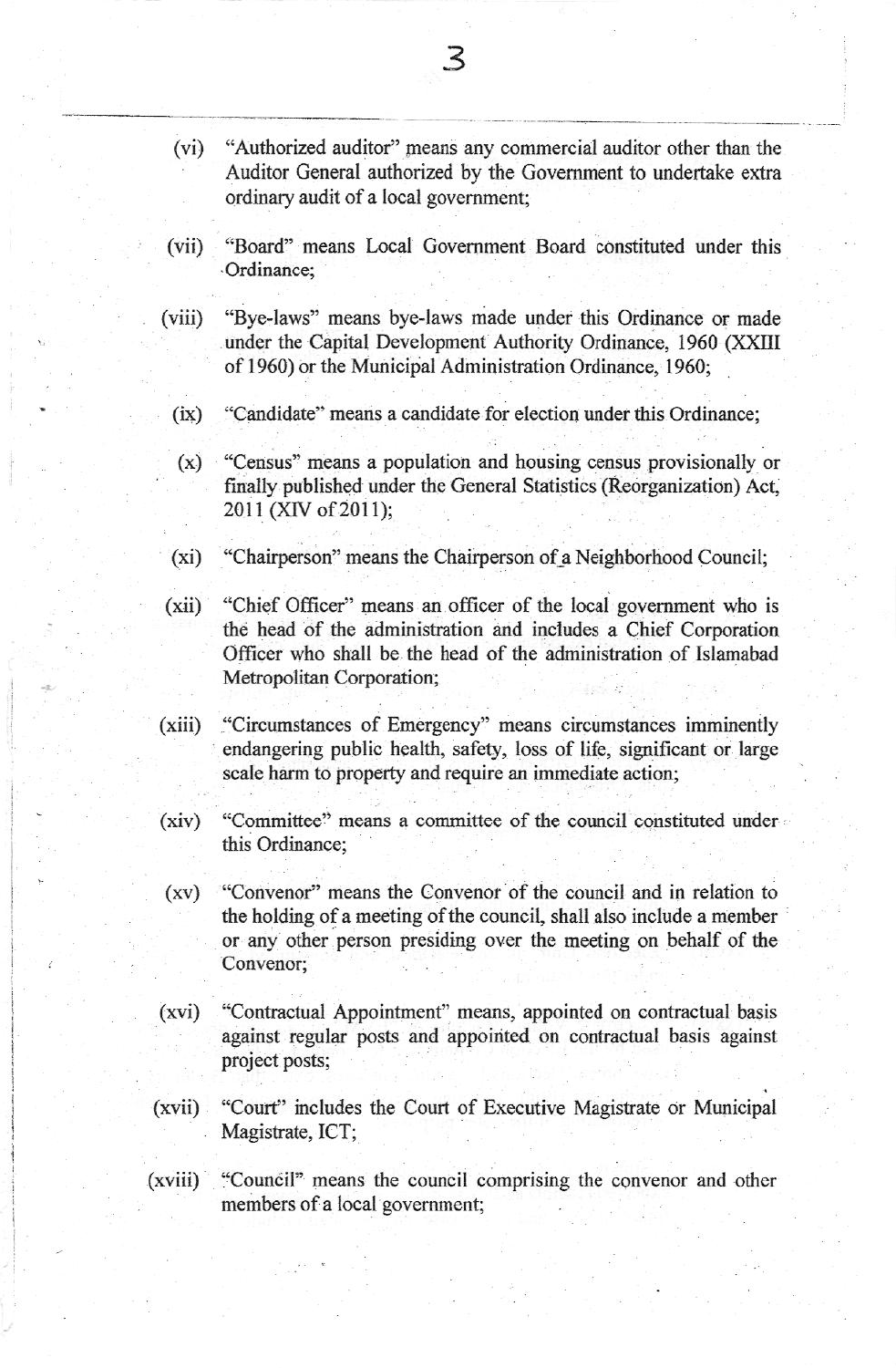- $(vi)$ "Authorized auditor" means any commercial auditor other than the Auditor General authorized by the Government to undertake extra ordinary audit of a local government;
- "Board" means Local Government Board constituted under this  $(vii)$ Ordinance:
- "Bye-laws" means bye-laws made under this Ordinance or made  $(viii)$ under the Capital Development Authority Ordinance, 1960 (XXIII of 1960) or the Municipal Administration Ordinance, 1960;
	- "Candidate" means a candidate for election under this Ordinance;  $(ix)$
	- "Census" means a population and housing census provisionally or  $(x)$ finally published under the General Statistics (Reorganization) Act. 2011 (XIV of 2011);
- "Chairperson" means the Chairperson of a Neighborhood Council;  $(xi)$
- "Chief Officer" means an officer of the local government who is  $(xii)$ the head of the administration and includes a Chief Corporation Officer who shall be the head of the administration of Islamabad Metropolitan Corporation;
- "Circumstances of Emergency" means circumstances imminently  $(xiii)$ endangering public health, safety, loss of life, significant or large scale harm to property and require an immediate action;
- "Committee" means a committee of the council constituted under  $(xiv)$ this Ordinance:
- "Convenor" means the Convenor of the council and in relation to  $(xv)$ the holding of a meeting of the council, shall also include a member or any other person presiding over the meeting on behalf of the Convenor:
- "Contractual Appointment" means, appointed on contractual basis  $(xvi)$ against regular posts and appointed on contractual basis against project posts;
- "Court" includes the Court of Executive Magistrate or Municipal  $(xvii)$ Magistrate, ICT;
- "Council" means the council comprising the convenor and other  $(xviii)$ members of a local government;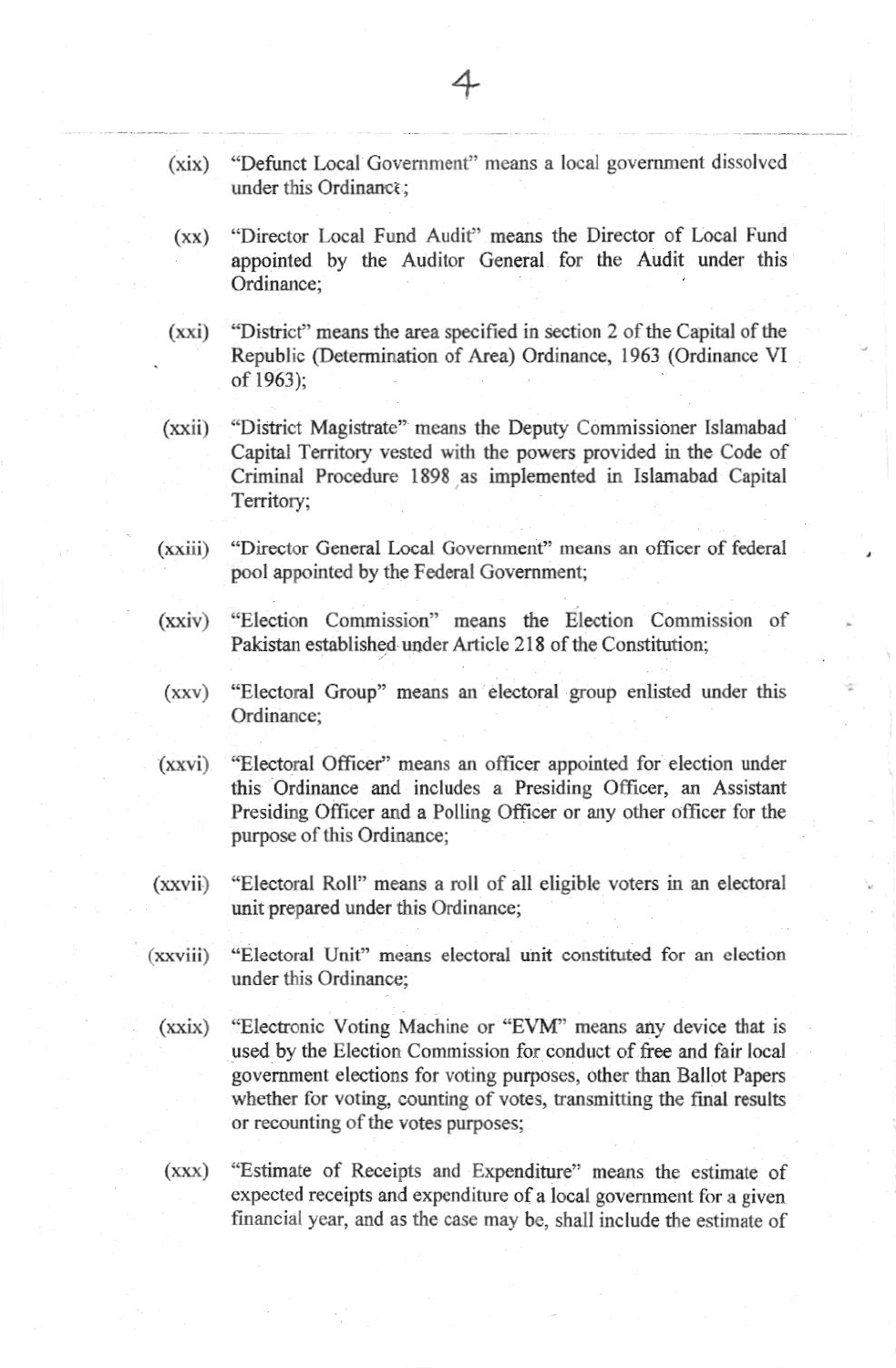- "Defunct Local Government" means a local government dissolved  $(xix)$ under this Ordinance:
- "Director Local Fund Audit" means the Director of Local Fund  $(xx)$ appointed by the Auditor General for the Audit under this Ordinance;
- $(xxi)$ "District" means the area specified in section 2 of the Capital of the Republic (Determination of Area) Ordinance, 1963 (Ordinance VI of 1963):
- "District Magistrate" means the Deputy Commissioner Islamabad  $(xxii)$ Capital Territory vested with the powers provided in the Code of Criminal Procedure 1898 as implemented in Islamabad Capital Territory;
- $(xxiii)$ "Director General Local Government" means an officer of federal pool appointed by the Federal Government;
- "Election Commission" means the Election Commission of  $(xxiv)$ Pakistan established under Article 218 of the Constitution:
- "Electoral Group" means an electoral group enlisted under this  $(xxy)$ Ordinance:
- $(xxvi)$ "Electoral Officer" means an officer appointed for election under this Ordinance and includes a Presiding Officer, an Assistant Presiding Officer and a Polling Officer or any other officer for the purpose of this Ordinance;
- $(xxvii)$ "Electoral Roll" means a roll of all eligible voters in an electoral unit prepared under this Ordinance;
- "Electoral Unit" means electoral unit constituted for an election  $(xxviii)$ under this Ordinance;
	- "Electronic Voting Machine or "EVM" means any device that is  $(xxix)$ used by the Election Commission for conduct of free and fair local government elections for voting purposes, other than Ballot Papers whether for voting, counting of votes, transmitting the final results or recounting of the votes purposes;
	- $(xxx)$ "Estimate of Receipts and Expenditure" means the estimate of expected receipts and expenditure of a local government for a given financial year, and as the case may be, shall include the estimate of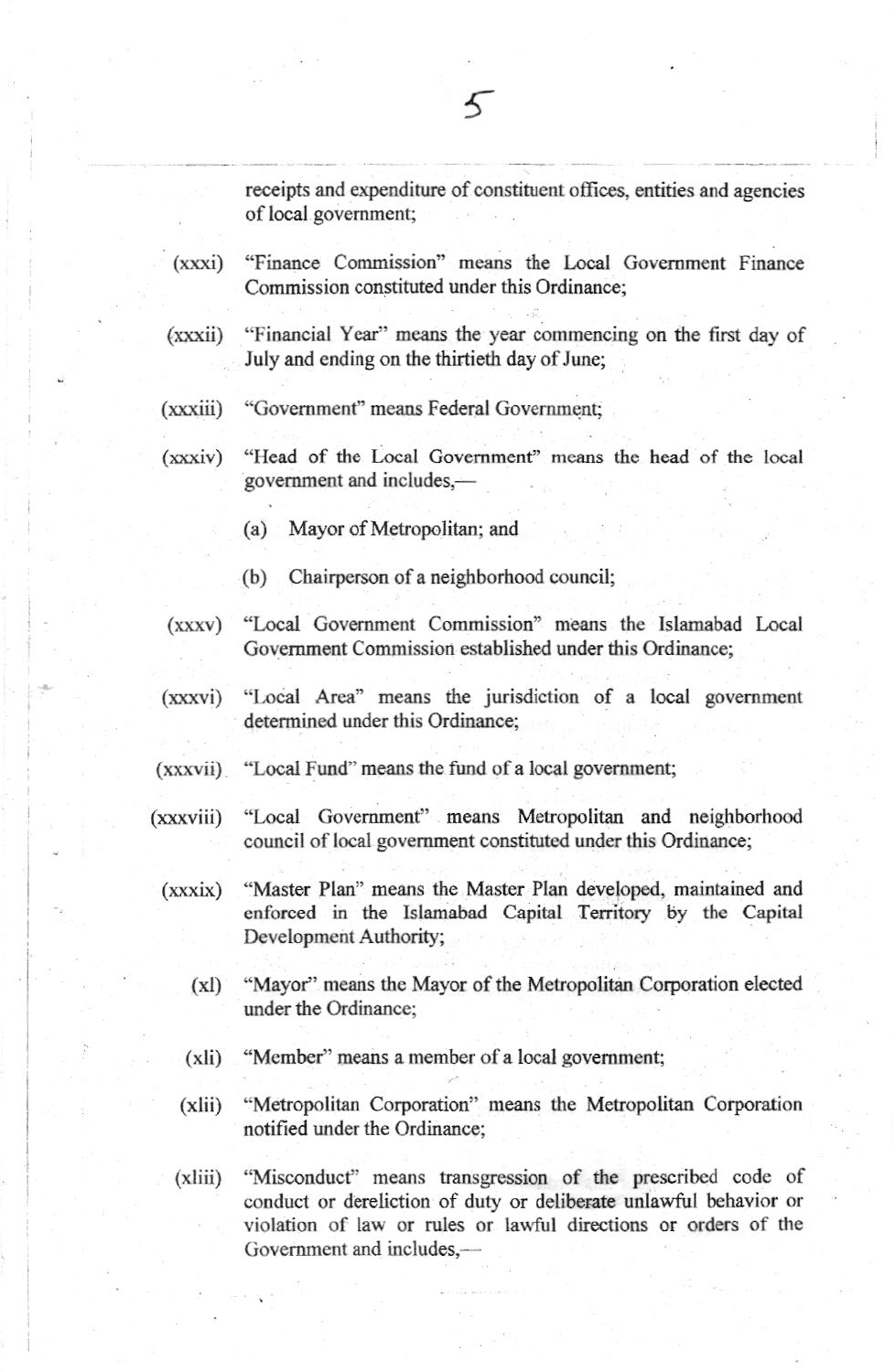receipts and expenditure of constituent offices, entities and agencies of local government;

- "Finance Commission" means the Local Government Finance  $(xxxi)$ Commission constituted under this Ordinance:
- $(xxxii)$ "Financial Year" means the year commencing on the first day of July and ending on the thirtieth day of June;
- "Government" means Federal Government;  $(xxxiii)$
- "Head of the Local Government" means the head of the local  $(xxxiv)$ government and includes,-
	- (a) Mayor of Metropolitan; and
	- $(b)$ Chairperson of a neighborhood council;
- $(xxxv)$ "Local Government Commission" means the Islamabad Local Government Commission established under this Ordinance;
- $(xxxvi)$ "Local Area" means the jurisdiction of a local government determined under this Ordinance;
- (xxxvii) "Local Fund" means the fund of a local government;
- $(xxxviii)$ "Local Government" means Metropolitan and neighborhood council of local government constituted under this Ordinance;
	- "Master Plan" means the Master Plan developed, maintained and  $(xxxix)$ enforced in the Islamabad Capital Territory by the Capital Development Authority;
		- "Mayor" means the Mayor of the Metropolitan Corporation elected  $(xI)$ under the Ordinance:
		- $(xli)$ "Member" means a member of a local government;
		- "Metropolitan Corporation" means the Metropolitan Corporation  $(xli)$ notified under the Ordinance;
		- "Misconduct" means transgression of the prescribed code of  $(xliii)$ conduct or dereliction of duty or deliberate unlawful behavior or violation of law or rules or lawful directions or orders of the Government and includes.-